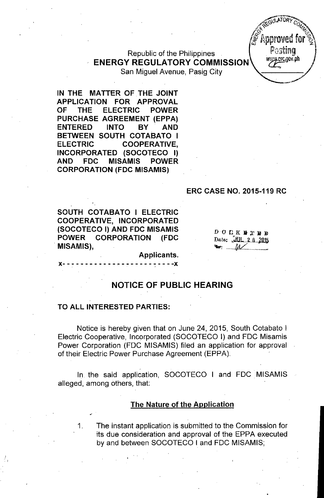Republic of the Philippines **ENERGY REGULATORY COMMISSION**

San Miguel Avenue, Pasig City

**IN THE MATTER** OF THE **JOINT APPLICATION FOR APPROVAL OF THE ELECTRIC POWER PURCHASE AGREEMENT (EPPA) ENTERED INTO BY AND BETWEEN SOUTH COTABATO I ELECTRIC COOPERATIVE, INCORPORATED (SOCOTECO I) AND FDC MISAMIS POWER CORPORATION (FDC MISAMIS)**

#### **ERC CASE NO. 2015-119 RC**

Postino www.erc.gov.ph

SOUTH COTABATO I ELECTRIC COOPERATIVE, INCORPORATED (SOCOTECO I) AND FDC MISAMIS **POWER CORPORATION (FDC** MISAMIS),

 $D$  O  $C K$  if  $T B$  in Date: JUL.2.8.2015  $M$ 

Applicants.

### **NOTICE OF PUBLIC HEARING**

#### **TO ALL INTERESTED PARTIES:**

Notice is hereby given that on June 24, 2015, South Cotabato I Electric Cooperative, Incorporated (SOCOTECO I) and FOC Misamis Power Corporation (FOC MISAMIS) filed an application for approval of their Electric Power Purchase Agreement (EPPA).

. In the said application, SOCOTECO I and FOC MISAMIS alleged, among others, that:

#### **The Nature of the Application**

1. The instant application is submitted to the Commission for its due consideration and approval of the EPPA executed by and between SOCOTECO I and FOC MISAMIS;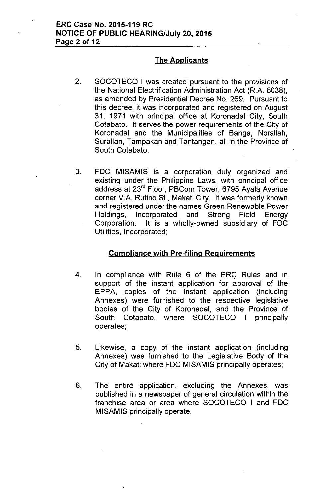### The Applicants

- 2. SOCOTECO I was created pursuant to the provisions of the National Electrification Administration Act (R.A. 6038), as amended by Presidential Oecree No. 269. Pursuant to this decree, it was incorporated and registered on August 31, 1971 with principal office at Koronadal City, South Cotabato. It serves the power requirements of the City of Koronadal and the Municipalities of Banga, Norallah, Surallah, Tampakan and Tantangan, all in the Province of South Cotabato;
- 3. FOC MISAMIS is a corporation duly organized and existing under the Philippine Laws, with principal office address at 23'd Floor, PBCom Tower, 6795 Ayala Avenue corner V.A. Rufino St., Makati City. It was formerly known and registered under the names Green Renewable Power Holdings, Incorporated and Strong Field Energy Corporation. It is a wholly-owned subsidiary of FOC Utilities, Incorporated;

#### Compliance with Pre-filing Requirements

- 4. In compliance with Rule 6 of the ERC Rules and in support of the instant application for approval of the EPPA, copies of the instant application (including Annexes) were furnished to the respective legislative bodies of the City of Koronadal, and the Province of South Cotabato, where SOCOTECO I principally operates;
- 5. Likewise, a copy of the instant application (including Annexes) was furnished to the Legislative Body of the City of Makati where FOC MISAMIS principally operates;
- 6. The entire application, excluding the Annexes, was published in a newspaper of general circulation within the franchise area or area where SOCOTECO I and FOC MISAMIS principally operate;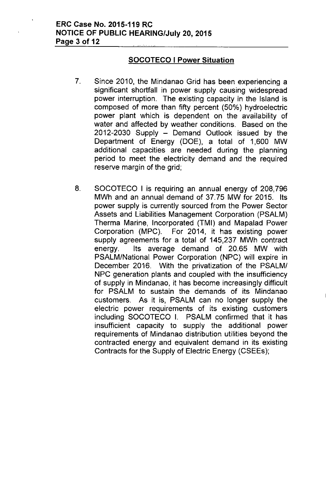### **SOCOTECO I Power Situation**

- 7. Since 2010, the Mindanao Grid has been experiencing a significant shortfall in power supply causing widespread power interruption. The existing capacity in the Island is composed of more than fifty percent (50%) hydroelectric power plant which is dependent on the availability of water and affected by weather conditions. Based on the 2012-2030 Supply - Demand Outlook issued by the Department of Energy (DOE), a total of 1,600 MW additional capacities are needed during the planning period to meet the electricity demand and the required reserve margin of the grid;
- 8. SOCOTECO I is requiring an annual energy of 208,796 MWh and an annual demand of 37.75 MW for 2015. Its power supply is currently sourced from the Power Sector Assets and Liabilities Management Corporation (PSALM) Therma Marine, Incorporated (TMI) and Mapalad Power Corporation (MPC). For 2014, it has existing power supply agreements for a total of 145,237 MWh contract energy. Its average demand of 20.65 MW with PSALM/National Power Corporation (NPC) will expire in December 2016. With the privatization of the PSALM/ NPC generation plants and coupled with the insufficiency of supply in Mindanao, it has become increasingly difficult for PSALM to sustain the demands of its Mindanao customers. As it is, PSALM can no longer supply the electric power requirements of its existing customers including SOCOTECO I. PSALM confirmed that it has insufficient capacity to supply the additional power requirements of Mindanao distribution utilities beyond the contracted energy and equivalent demand in its existing Contracts for the Supply of Electric Energy (CSEEs);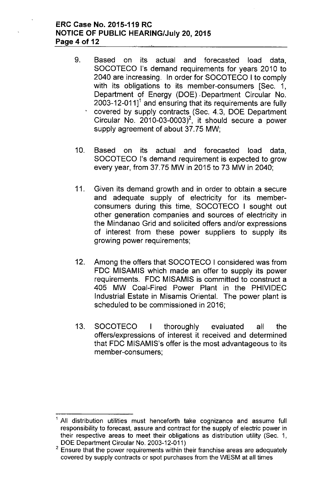### ERC Case No. 2015-119 RC NOTICE OF PUBLIC HEARING/July 20,2015 Page 4 of 12

- 9. Based on its actual and forecasted load data, SOCOTECO I's demand requirements for years 2010 to 2040 are increasing. In order for SOCOTECO I to comply with its obligations to its member-consumers [Sec. 1, Department of Energy (DOE). Department Circular No. 2003-12-011 $1^1$  and ensuring that its requirements are fully covered by supply contracts (Sec. 4.3, DOE Department Circular No.  $2010-03-0003$ <sup>2</sup>, it should secure a power supply agreement of about 37.75 MW;
- 10. Based on its actual and forecasted load data, SOCOTECO I's demand requirement is expected to grow every year, from 37.75 MW in 2015 to 73 MW in 2040;
- 11. Given its demand growth and in order to obtain a secure and adequate supply of electricity for its memberconsumers during this time, SOCOTECO I sought out other generation companies and sources of electricity in the Mindanao Grid and solicited offers and/or expressions of interest from these power suppliers to supply its growing power requirements;
- 12. Among the offers that SOCOTECO I considered was from FDC MISAMIS which made an offer to supply its power requirements. FDC MISAMIS is committed to construct a 405 MW Coal-Fired Power Plant in the PHIVIDEC Industrial Estate in Misamis Oriental. The power plant is scheduled to be commissioned in 2016;
- 13. SOCOTECO I thoroughly evaluated all the offers/expressions of interest it received and determined that FDC MISAMIS's offer is the most advantageous to its member-consumers;

All distribution utilities must henceforth take cognizance and assume full responsibility to forecast, assure and contract for the supply of electric power in their respective areas to meet their obligations as distribution utility (Sec. 1, DOE Department Circular No. 2003-12-011)

 $2$  Ensure that the power requirements within their franchise areas are adequately covered by supply contracts or spot purchases from the WESM at all times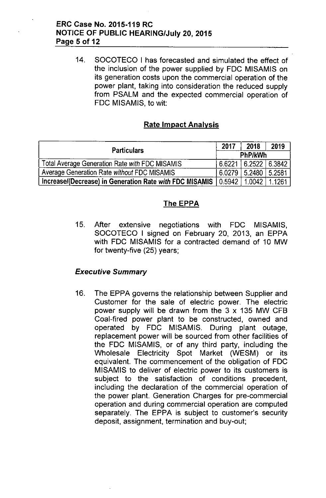### ERC Case No. 2015-119 RC NOTICE OF PUBLIC HEARING/July 20,2015 Page 5 of 12

14. SOCOTECO I has forecasted and simulated the effect of the inclusion of the power supplied by FOC MISAMIS on its generation costs upon the commercial operation of the power plant, taking into consideration the reduced supply from PSALM and the expected commercial operation of FOC MISAMIS, to wit:

### Rate Impact Analysis

| <b>Particulars</b>                                      | 2017    | 2018                 | 2019   |  |
|---------------------------------------------------------|---------|----------------------|--------|--|
|                                                         |         | <b>PhP/kWh</b>       |        |  |
| Total Average Generation Rate with FDC MISAMIS          | 6.6221  | $6.2522 \mid 6.3842$ |        |  |
| Average Generation Rate without FDC MISAMIS             | 6.0279  | $5.2480$   5.2581    |        |  |
| Increase/(Decrease) in Generation Rate with FDC MISAMIS | 10.5942 | $1.0042 +$           | 1.1261 |  |

### The EPPA

15. After extensive negotiations with FOC MISAMIS, SOCOTECO I signed on February 20, 2013, an EPPA with FOC MISAMIS for a contracted demand of 10 MW for twenty-five (25) years;

### *Executive Summary*

16. The EPPA governs the relationship between Supplier and Customer for the sale of electric power. The electric power supply will be drawn from the 3 x 135 MW CFB Coal-fired power plant to be constructed, owned and operated by FOC MISAMIS. During plant outage, replacement power will be sourced from other facilities of the FOC MISAMIS, or of any third party, including the Wholesale Electricity Spot Market (WESM) or its equivalent. The commencement of the obligation of FOC MISAMIS to deliver of electric power to its customers is subject to the satisfaction of conditions precedent, including the declaration of the commercial operation of the power plant. Generation Charges for pre-commercial operation and during commercial operation are computed separately. The EPPA is subject to customer's security deposit, assignment, termination and buy-out;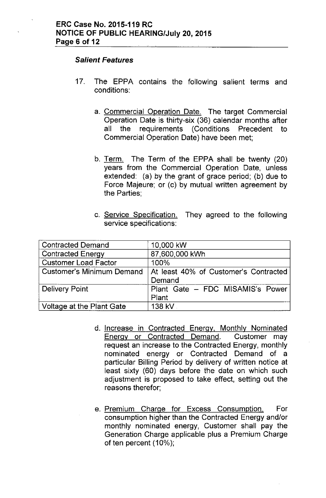#### *Salient Features*

- 17. The EPPA contains the following salient terms and conditions:
	- a. Commercial Operation Date. The target Commercial Operation Date is thirty-six (36) calendar months after all the requirements (Conditions Precedent to Commercial Operation Date) have been met;
	- b. Term. The Term of the EPPA shall be twenty (20) years from the Commercial Operation Date, unless extended: (a) by the grant of grace period; (b) due to Force Majeure; or (c) by mutual written agreement by the Parties;
	- c. Service Specification. They agreed to the following service specifications:

| <b>Contracted Demand</b>         | 10,000 kW                                       |
|----------------------------------|-------------------------------------------------|
| <b>Contracted Energy</b>         | 87,600,000 kWh                                  |
| <b>Customer Load Factor</b>      | 100%                                            |
| <b>Customer's Minimum Demand</b> | At least 40% of Customer's Contracted<br>Demand |
| <b>Delivery Point</b>            | Plant Gate - FDC MISAMIS's Power<br>Plant       |
| Voltage at the Plant Gate        | 138 kV                                          |

- d. Increase in Contracted Energy. Monthly Nominated Energy or Contracted Demand. Customer may request an increase to the Contracted Energy, monthly nominated energy or Contracted Demand of a particular Billing Period by delivery of written notice at least sixty (60) days before the date on which such adjustment is proposed to take effect, setting out the reasons therefor;
- e. Premium Charge for Excess Consumption. For consumption higher than the Contracted Energy and/or monthly nominated energy, Customer shall pay the Generation Charge applicable plus a Premium Charge of ten percent (10%);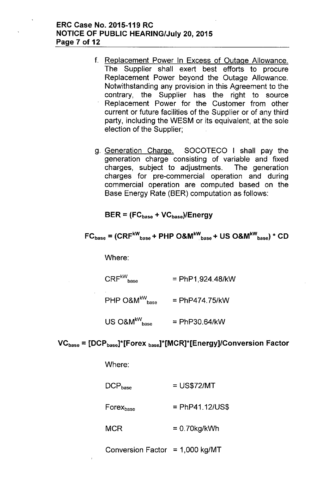#### ERC Case No. 2015-119 RC NOTICE OF PUBLIC HEARING/July 20, 2015 Page 7 of 12

- f. Replacement Power In Excess of Outage Allowance. The Supplier shall exert best efforts to procure Replacement Power beyond the Outage Allowance. Notwithstanding any provision in this Agreement to the contrary, the Supplier has the right to source Replacement Power for the Customer from other current or future facilities of the Supplier or of any third party, including the WESM or its equivalent, at the sole election of the Supplier;
- g. Generation Charge. SOCOTECO I shall pay the generation charge consisting of variable and fixed charges, subject to adjustments. The generation charges for pre-commercial operation and during commercial operation are computed based on the Base Energy Rate (BER) computation as follows:

 $BER = (FC_{base} + VC_{base})/Energy$ 

$$
FC_{base} = (CRF^{kW}_{base} + PHP O&M^{kW}_{base} + US O&M^{kW}_{base}) * CD
$$

Where:

 $CRF^{kW}_{base}$  = PhP1,924.48/kW

PHP  $O&M^{kW}$ <sub>pase</sub> = PhP474.75/kW

 $US O&M^{kW}$ <sub>base</sub> = PhP30.64/kW

#### $VC<sub>base</sub> = [DCP<sub>base</sub>]*[Forex<sub>base</sub>]*[MCR]<sup>*</sup>[Energy]/Conversion Factor$

Where:

| $\mathsf{DCP}_\mathsf{base}$ | $=$ US\$72/MT     |
|------------------------------|-------------------|
| Forex <sub>base</sub>        | $=$ PhP41.12/US\$ |

**MCR**  $= 0.70$ kg/kWh

Conversion Factor =  $1,000$  kg/MT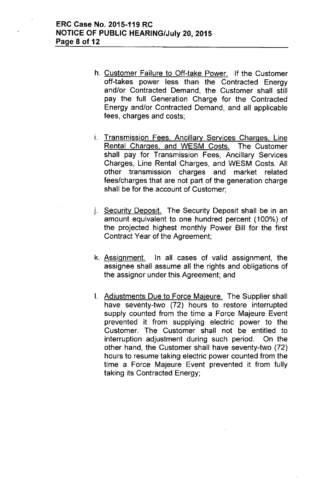- h. Customer Failure to Off-take Power. If the Customer off-takes power less than the Contracted Energy and/or Contracted Demand, the Customer shall still pay the full Generation Charge for the Contracted Energy and/or Contracted Demand, and all applicable fees, charges and costs;
- i. Transmission Fees. Ancillary Services Charges. Line Rental Charges. and WESM Costs. The Customer shall pay for Transmission Fees, Ancillary Services Charges, Line Rental Charges, and WESM Costs. All other transmission charges and market related fees/charges that are not part of the generation charge shall be for the account of Customer;
- j. Security Deposit. The Security Deposit shall be in an amount equivalent to one hundred percent (100%) of the projected highest monthly Power Bill for the first Contract Year of the Agreement;
- k. Assignment. In all cases of valid assignment, the assignee shall assume all the rights and obligations of the assignor under this Agreement; and
- I. Adjustments Due to Force Majeure. The Supplier shall have seventy-two (72) hours to restore interrupted supply counted from the time a Force Majeure Event prevented it from supplying electric power to the Customer. The Customer shall not be entitled to interruption adjustment during such period. On the other hand, the Customer shall have seventy-two (72) hours to resume taking electric power counted from the time a Force Majeure Event prevented it from fully taking its Contracted Energy;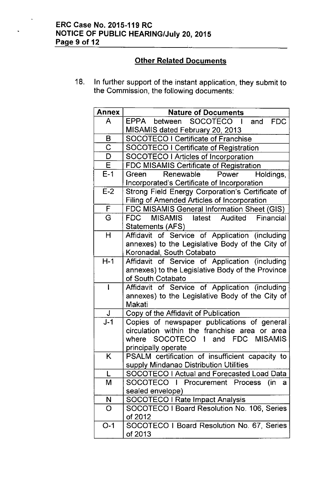## ERC Case No. 2015-119 RC **NOTICE OF PUBLIC HEARING/July 20, 2015** Page 9 of 12

# **Other Related Documents**

18. In further support of the instant application, they submit to the Commission, the following documents:

| <b>Annex</b>   | <b>Nature of Documents</b>                                |
|----------------|-----------------------------------------------------------|
| A              | EPPA between SOCOTECO I and<br><b>FDC</b>                 |
|                | MISAMIS dated February 20, 2013                           |
| B              | <b>SOCOTECO I Certificate of Franchise</b>                |
| $\overline{C}$ | <b>SOCOTECO I Certificate of Registration</b>             |
| D              | SOCOTECO I Articles of Incorporation                      |
| E              | FDC MISAMIS Certificate of Registration                   |
| $E-1$          | Renewable<br>Power<br>Green<br>Holdings,                  |
|                | Incorporated's Certificate of Incorporation               |
| $E-2$          | Strong Field Energy Corporation's Certificate of          |
|                | <b>Filing of Amended Articles of Incorporation</b>        |
| F              | FDC MISAMIS General Information Sheet (GIS)               |
| G              | MISAMIS latest Audited Financial<br>FDC                   |
|                | Statements (AFS)                                          |
| H              | Affidavit of Service of Application (including            |
|                | annexes) to the Legislative Body of the City of           |
|                | Koronadal, South Cotabato                                 |
| $H-1$          | Affidavit of Service of Application (including            |
|                | annexes) to the Legislative Body of the Province          |
|                | of South Cotabato                                         |
|                | Affidavit of Service of Application (including            |
|                | annexes) to the Legislative Body of the City of<br>Makati |
| J              | Copy of the Affidavit of Publication                      |
| $J-1$          | Copies of newspaper publications of general               |
|                | circulation within the franchise<br>area or<br>area       |
|                | where SOCOTECO I and FDC MISAMIS                          |
|                | principally operate                                       |
| K.             | PSALM certification of insufficient capacity to           |
|                | supply Mindanao Distribution Utilities                    |
| L              | SOCOTECO I Actual and Forecasted Load Data                |
| M              | SOCOTECO I Procurement Process<br>(in<br>a                |
|                | sealed envelope)                                          |
| N              | <b>SOCOTECO I Rate Impact Analysis</b>                    |
| O              | SOCOTECO I Board Resolution No. 106, Series               |
|                | of 2012                                                   |
| $O-1$          | SOCOTECO I Board Resolution No. 67, Series                |
|                | of 2013                                                   |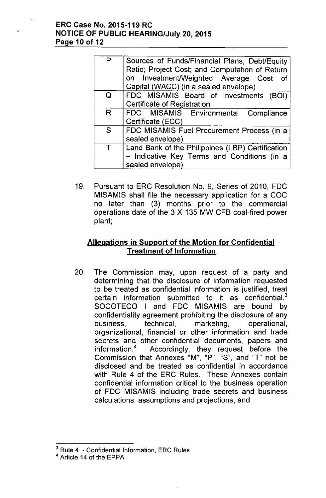### ERC Case No. 2015-119 RC NOTICE OF PUBLIC HEARING/July 20,2015 Page 10 of 12

| P | Sources of Funds/Financial Plans; Debt/Equity<br>Ratio; Project Cost; and Computation of Return |
|---|-------------------------------------------------------------------------------------------------|
|   | on Investment/Weighted Average Cost<br>_of                                                      |
|   | Capital (WACC) (in a sealed envelope)                                                           |
| Q | FDC MISAMIS Board of Investments (BOI)                                                          |
|   | <b>Certificate of Registration</b>                                                              |
| R | FDC MISAMIS Environmental Compliance                                                            |
|   | Certificate (ECC)                                                                               |
| S | FDC MISAMIS Fuel Procurement Process (in a                                                      |
|   | sealed envelope)                                                                                |
|   | Land Bank of the Philippines (LBP) Certification                                                |
|   | - Indicative Key Terms and Conditions (in a                                                     |
|   | sealed envelope)                                                                                |

19. Pursuant to ERC Resolution NO.9, Series of 2010, FDC MISAMIS shall file the necessary application for a COC no later than (3) months prior to the commercial operations date of the 3 X 135 MW CFB coal-fired power plant;

## Allegations in Support of the Motion for Confidential Treatment of Information

20. The Commission may, upon request of a party and determining that the disclosure of information requested to be treated as confidential information is justified, treat certain information submitted to it as confidential. $3$ SOCOTECO I and FDC MISAMIS are bound by confidentiality agreement prohibiting the disclosure of any business, technical, marketing, operational, organizational, financial or other information and trade secrets and other confidential documents, papers and information.<sup>4</sup> Accordingly, they request before the Commission that Annexes "M", "P", "S", and "T" not be disclosed and be treated as confidential in accordance with Rule 4 of the ERC Rules. These Annexes contain confidential information critical to the business operation of FDC MISAMIS including trade secrets and business calculations, assumptions and projections; and

<sup>&</sup>lt;sup>3</sup> Rule 4 - Confidential Information, ERC Rules

<sup>4</sup> Article 14 of the EPPA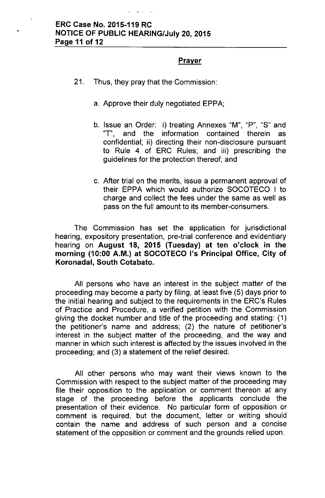### **Prayer**

- 21. Thus, they pray that the Commission:
	- a. Approve their duly negotiated EPPA;
	- b. Issue an Order: i) treating Annexes "M", "P", "S" and "T", and the information contained therein as confidential; ii) directing their non-disclosure pursuant to Rule 4 of ERC Rules; and iii) prescribing the guidelines for the protection thereof; and
	- c. After trial on the merits, issue a permanent approval of their EPPA which would authorize SOCOTECO I to charge and collect the fees under the same as well as pass on the full amount to its member-consumers.

The Commission has set the application for jurisdictional hearing, expository presentation, pre-trial conference and evidentiary hearing on August 18, 2015 (Tuesday) at ten o'clock in the morning (10:00 A.M.) at SOCOTECO 1'5 Principal Office, City of Koronadal, South Cotabato.

All persons who have an interest in the subject matter of the proceeding may become a party by filing, at least five (5) days prior to the initial hearing and subject to the requirements in the ERC's Rules of Practice and Procedure, a verified petition with the Commission giving the docket number and title of the proceeding and stating: (1) the petitioner's name and address; (2) the nature of petitioner's interest in the subject matter of the proceeding, and the way and manner in which such interest is affected by the issues involved in the proceeding; and (3) a statement of the relief desired.

All other persons who may want their views known to the Commission with respect to the subject matter of the proceeding may file their opposition to the application or comment thereon at any stage of the proceeding before the applicants conclude the presentation of their evidence. No particular form of opposition or comment is required, but the document, letter or writing should contain the name and address of such person and a concise statement of the opposition or comment and the grounds relied upon.